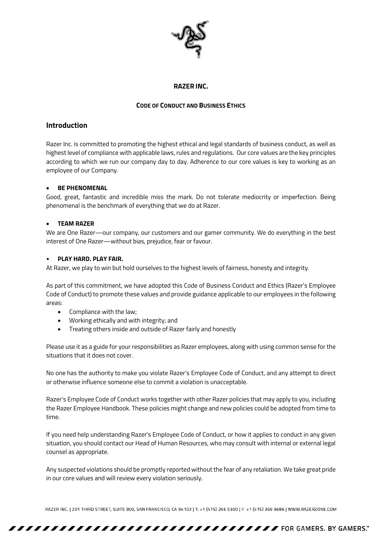

### **RAZER INC.**

### **CODE OF CONDUCT AND BUSINESS ETHICS**

# **Introduction**

Razer Inc. is committed to promoting the highest ethical and legal standards of business conduct, as well as highest level of compliance with applicable laws, rules and regulations. Our core values are the key principles according to which we run our company day to day. Adherence to our core values is key to working as an employee of our Company.

### **BE PHENOMENAL**

Good, great, fantastic and incredible miss the mark. Do not tolerate mediocrity or imperfection. Being phenomenal is the benchmark of everything that we do at Razer.

### **TEAM RAZER**

We are One Razer—our company, our customers and our gamer community. We do everything in the best interest of One Razer—without bias, prejudice, fear or favour.

### • **PLAY HARD. PLAY FAIR.**

At Razer, we play to win but hold ourselves to the highest levels of fairness, honesty and integrity.

As part of this commitment, we have adopted this Code of Business Conduct and Ethics (Razer's Employee Code of Conduct) to promote these values and provide guidance applicable to our employees in the following areas:

- Compliance with the law;
- Working ethically and with integrity; and
- Treating others inside and outside of Razer fairly and honestly

Please use it as a guide for your responsibilities as Razer employees, along with using common sense for the situations that it does not cover.

No one has the authority to make you violate Razer's Employee Code of Conduct, and any attempt to direct or otherwise influence someone else to commit a violation is unacceptable.

Razer's Employee Code of Conduct works together with other Razer policies that may apply to you, including the Razer Employee Handbook. These policies might change and new policies could be adopted from time to time.

If you need help understanding Razer's Employee Code of Conduct, or how it applies to conduct in any given situation, you should contact our Head of Human Resources, who may consult with internal or external legal counsel as appropriate.

Any suspected violations should be promptly reported without the fear of any retaliation. We take great pride in our core values and will review every violation seriously.

RAZER INC. | 201 THIRD STREET, SUITE 900, SAN FRANCISCO, CA 94103 | T: +1 (415) 266 5300 | F: +1 (415) 369 9686 | WWW.RAZERZONE.COM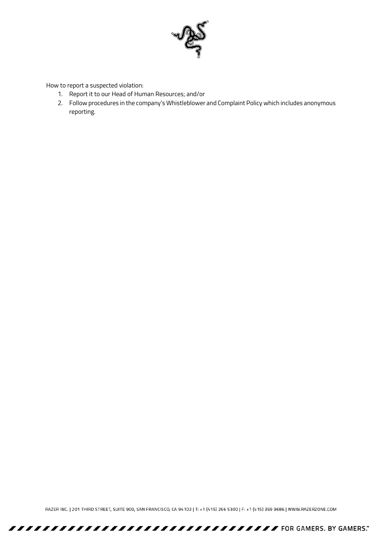

How to report a suspected violation:

- 1. Report it to our Head of Human Resources; and/or
- 2. Follow procedures in the company's Whistleblower and Complaint Policy which includes anonymous reporting.

RAZER INC. | 201 THIRD STREET, SUITE 900, SAN FRANCISCO, CA 94103 | T: +1 (415) 266 5300 | F: +1 (415) 369 9686 | WWW.RAZERZONE.COM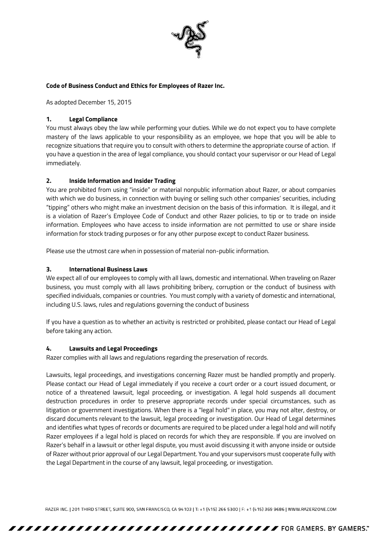

### **Code of Business Conduct and Ethics for Employees of Razer Inc.**

As adopted December 15, 2015

### **1. Legal Compliance**

You must always obey the law while performing your duties. While we do not expect you to have complete mastery of the laws applicable to your responsibility as an employee, we hope that you will be able to recognize situations that require you to consult with others to determine the appropriate course of action. If you have a question in the area of legal compliance, you should contact your supervisor or our Head of Legal immediately.

### **2. Inside Information and Insider Trading**

You are prohibited from using "inside" or material nonpublic information about Razer, or about companies with which we do business, in connection with buying or selling such other companies' securities, including "tipping" others who might make an investment decision on the basis of this information. It is illegal, and it is a violation of Razer's Employee Code of Conduct and other Razer policies, to tip or to trade on inside information. Employees who have access to inside information are not permitted to use or share inside information for stock trading purposes or for any other purpose except to conduct Razer business.

Please use the utmost care when in possession of material non-public information.

### **3. International Business Laws**

We expect all of our employees to comply with all laws, domestic and international. When traveling on Razer business, you must comply with all laws prohibiting bribery, corruption or the conduct of business with specified individuals, companies or countries. You must comply with a variety of domestic and international, including U.S. laws, rules and regulations governing the conduct of business

If you have a question as to whether an activity is restricted or prohibited, please contact our Head of Legal before taking any action.

### **4. Lawsuits and Legal Proceedings**

Razer complies with all laws and regulations regarding the preservation of records.

Lawsuits, legal proceedings, and investigations concerning Razer must be handled promptly and properly. Please contact our Head of Legal immediately if you receive a court order or a court issued document, or notice of a threatened lawsuit, legal proceeding, or investigation. A legal hold suspends all document destruction procedures in order to preserve appropriate records under special circumstances, such as litigation or government investigations. When there is a "legal hold" in place, you may not alter, destroy, or discard documents relevant to the lawsuit, legal proceeding or investigation. Our Head of Legal determines and identifies what types of records or documents are required to be placed under a legal hold and will notify Razer employees if a legal hold is placed on records for which they are responsible. If you are involved on Razer's behalf in a lawsuit or other legal dispute, you must avoid discussing it with anyone inside or outside of Razer without prior approval of our Legal Department. You and your supervisors must cooperate fully with the Legal Department in the course of any lawsuit, legal proceeding, or investigation.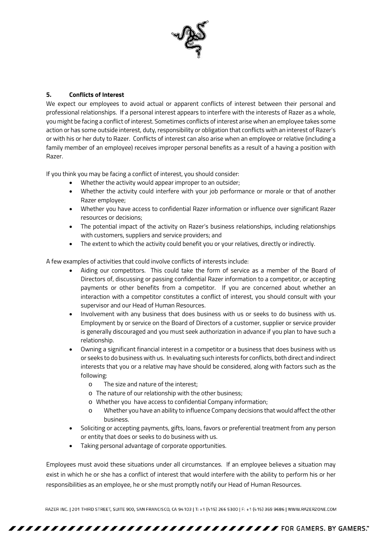

## **5. Conflicts of Interest**

We expect our employees to avoid actual or apparent conflicts of interest between their personal and professional relationships. If a personal interest appears to interfere with the interests of Razer as a whole, you might be facing a conflict of interest. Sometimes conflicts of interest arise when an employee takes some action or has some outside interest, duty, responsibility or obligation that conflicts with an interest of Razer's or with his or her duty to Razer. Conflicts of interest can also arise when an employee or relative (including a family member of an employee) receives improper personal benefits as a result of a having a position with Razer.

If you think you may be facing a conflict of interest, you should consider:

- Whether the activity would appear improper to an outsider;
- Whether the activity could interfere with your job performance or morale or that of another Razer employee;
- Whether you have access to confidential Razer information or influence over significant Razer resources or decisions;
- The potential impact of the activity on Razer's business relationships, including relationships with customers, suppliers and service providers; and
- The extent to which the activity could benefit you or your relatives, directly or indirectly.

A few examples of activities that could involve conflicts of interests include:

- Aiding our competitors. This could take the form of service as a member of the Board of Directors of, discussing or passing confidential Razer information to a competitor, or accepting payments or other benefits from a competitor. If you are concerned about whether an interaction with a competitor constitutes a conflict of interest, you should consult with your supervisor and our Head of Human Resources.
- Involvement with any business that does business with us or seeks to do business with us. Employment by or service on the Board of Directors of a customer, supplier or service provider is generally discouraged and you must seek authorization in advance if you plan to have such a relationship.
- Owning a significant financial interest in a competitor or a business that does business with us or seeks to do business with us. In evaluating such interests for conflicts, both direct and indirect interests that you or a relative may have should be considered, along with factors such as the following:
	- o The size and nature of the interest;
	- o The nature of our relationship with the other business;
	- o Whether you have access to confidential Company information;
	- o Whether you have an ability to influence Company decisions that would affect the other business.
- Soliciting or accepting payments, gifts, loans, favors or preferential treatment from any person or entity that does or seeks to do business with us.
- Taking personal advantage of corporate opportunities.

Employees must avoid these situations under all circumstances. If an employee believes a situation may exist in which he or she has a conflict of interest that would interfere with the ability to perform his or her responsibilities as an employee, he or she must promptly notify our Head of Human Resources.

RAZER INC. | 201 THIRD STREET, SUITE 900, SAN FRANCISCO, CA 94103 | T: +1 (415) 266 5300 | F: +1 (415) 369 9686 | WWW.RAZERZONE.COM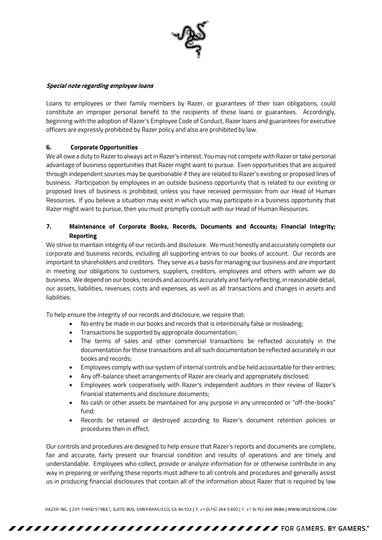

#### **Special note regarding employee loans**

Loans to employees or their family members by Razer, or guarantees of their loan obligations, could constitute an improper personal benefit to the recipients of these loans or guarantees. Accordingly, beginning with the adoption of Razer's Employee Code of Conduct, Razer loans and guarantees for executive officers are expressly prohibited by Razer policy and also are prohibited by law.

### **6. Corporate Opportunities**

We all owe a duty to Razer to always act in Razer's interest. You may not compete with Razer or take personal advantage of business opportunities that Razer might want to pursue. Even opportunities that are acquired through independent sources may be questionable if they are related to Razer's existing or proposed lines of business. Participation by employees in an outside business opportunity that is related to our existing or proposed lines of business is prohibited, unless you have received permission from our Head of Human Resources. If you believe a situation may exist in which you may participate in a business opportunity that Razer might want to pursue, then you must promptly consult with our Head of Human Resources.

## **7. Maintenance of Corporate Books, Records, Documents and Accounts; Financial Integrity; Reporting**

We strive to maintain integrity of our records and disclosure. We must honestly and accurately complete our corporate and business records, including all supporting entries to our books of account. Our records are important to shareholders and creditors. They serve as a basis for managing our business and are important in meeting our obligations to customers, suppliers, creditors, employees and others with whom we do business. We depend on our books, records and accounts accurately and fairly reflecting, in reasonable detail, our assets, liabilities, revenues, costs and expenses, as well as all transactions and changes in assets and liabilities.

To help ensure the integrity of our records and disclosure, we require that:

- No entry be made in our books and records that is intentionally false or misleading;
- Transactions be supported by appropriate documentation;
- The terms of sales and other commercial transactions be reflected accurately in the documentation for those transactions and all such documentation be reflected accurately in our books and records;
- Employees comply with our system of internal controls and be held accountable for their entries;
- Any off-balance sheet arrangements of Razer are clearly and appropriately disclosed;
- Employees work cooperatively with Razer's independent auditors in their review of Razer's financial statements and disclosure documents;
- No cash or other assets be maintained for any purpose in any unrecorded or "off-the-books" fund;
- Records be retained or destroyed according to Razer's document retention policies or procedures then in effect.

Our controls and procedures are designed to help ensure that Razer's reports and documents are complete, fair and accurate, fairly present our financial condition and results of operations and are timely and understandable. Employees who collect, provide or analyze information for or otherwise contribute in any way in preparing or verifying these reports must adhere to all controls and procedures and generally assist us in producing financial disclosures that contain all of the information about Razer that is required by law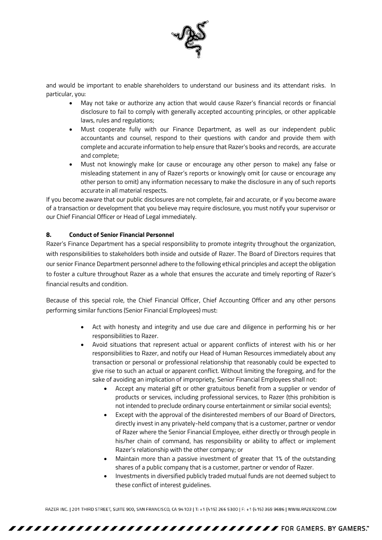

and would be important to enable shareholders to understand our business and its attendant risks. In particular, you:

- May not take or authorize any action that would cause Razer's financial records or financial disclosure to fail to comply with generally accepted accounting principles, or other applicable laws, rules and regulations;
- Must cooperate fully with our Finance Department, as well as our independent public accountants and counsel, respond to their questions with candor and provide them with complete and accurate information to help ensure that Razer's books and records, are accurate and complete;
- Must not knowingly make (or cause or encourage any other person to make) any false or misleading statement in any of Razer's reports or knowingly omit (or cause or encourage any other person to omit) any information necessary to make the disclosure in any of such reports accurate in all material respects.

If you become aware that our public disclosures are not complete, fair and accurate, or if you become aware of a transaction or development that you believe may require disclosure, you must notify your supervisor or our Chief Financial Officer or Head of Legal immediately.

### **8. Conduct of Senior Financial Personnel**

Razer's Finance Department has a special responsibility to promote integrity throughout the organization, with responsibilities to stakeholders both inside and outside of Razer. The Board of Directors requires that our senior Finance Department personnel adhere to the following ethical principles and accept the obligation to foster a culture throughout Razer as a whole that ensures the accurate and timely reporting of Razer's financial results and condition.

Because of this special role, the Chief Financial Officer, Chief Accounting Officer and any other persons performing similar functions (Senior Financial Employees) must:

- Act with honesty and integrity and use due care and diligence in performing his or her responsibilities to Razer.
- Avoid situations that represent actual or apparent conflicts of interest with his or her responsibilities to Razer, and notify our Head of Human Resources immediately about any transaction or personal or professional relationship that reasonably could be expected to give rise to such an actual or apparent conflict. Without limiting the foregoing, and for the sake of avoiding an implication of impropriety, Senior Financial Employees shall not:
	- Accept any material gift or other gratuitous benefit from a supplier or vendor of products or services, including professional services, to Razer (this prohibition is not intended to preclude ordinary course entertainment or similar social events);
	- Except with the approval of the disinterested members of our Board of Directors, directly invest in any privately-held company that is a customer, partner or vendor of Razer where the Senior Financial Employee, either directly or through people in his/her chain of command, has responsibility or ability to affect or implement Razer's relationship with the other company; or
	- Maintain more than a passive investment of greater that 1% of the outstanding shares of a public company that is a customer, partner or vendor of Razer.
	- Investments in diversified publicly traded mutual funds are not deemed subject to these conflict of interest guidelines.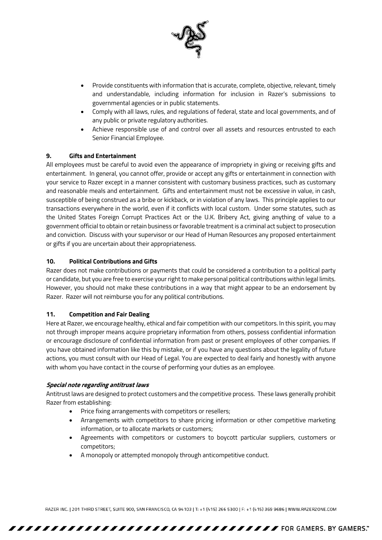

- Provide constituents with information that is accurate, complete, objective, relevant, timely and understandable, including information for inclusion in Razer's submissions to governmental agencies or in public statements.
- Comply with all laws, rules, and regulations of federal, state and local governments, and of any public or private regulatory authorities.
- Achieve responsible use of and control over all assets and resources entrusted to each Senior Financial Employee.

### **9. Gifts and Entertainment**

All employees must be careful to avoid even the appearance of impropriety in giving or receiving gifts and entertainment. In general, you cannot offer, provide or accept any gifts or entertainment in connection with your service to Razer except in a manner consistent with customary business practices, such as customary and reasonable meals and entertainment. Gifts and entertainment must not be excessive in value, in cash, susceptible of being construed as a bribe or kickback, or in violation of any laws. This principle applies to our transactions everywhere in the world, even if it conflicts with local custom. Under some statutes, such as the United States Foreign Corrupt Practices Act or the U.K. Bribery Act, giving anything of value to a government official to obtain or retain business or favorable treatment is a criminal act subject to prosecution and conviction. Discuss with your supervisor or our Head of Human Resources any proposed entertainment or gifts if you are uncertain about their appropriateness.

### **10. Political Contributions and Gifts**

Razer does not make contributions or payments that could be considered a contribution to a political party or candidate, but you are free to exercise your right to make personal political contributions within legal limits. However, you should not make these contributions in a way that might appear to be an endorsement by Razer. Razer will not reimburse you for any political contributions.

### **11. Competition and Fair Dealing**

Here at Razer, we encourage healthy, ethical and fair competition with our competitors. In this spirit, you may not through improper means acquire proprietary information from others, possess confidential information or encourage disclosure of confidential information from past or present employees of other companies. If you have obtained information like this by mistake, or if you have any questions about the legality of future actions, you must consult with our Head of Legal. You are expected to deal fairly and honestly with anyone with whom you have contact in the course of performing your duties as an employee.

### **Special note regarding antitrust laws**

Antitrust laws are designed to protect customers and the competitive process. These laws generally prohibit Razer from establishing:

- Price fixing arrangements with competitors or resellers;
- Arrangements with competitors to share pricing information or other competitive marketing information, or to allocate markets or customers;
- Agreements with competitors or customers to boycott particular suppliers, customers or competitors;
- A monopoly or attempted monopoly through anticompetitive conduct.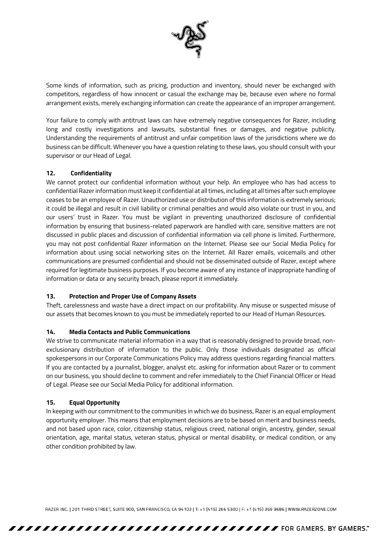

Some kinds of information, such as pricing, production and inventory, should never be exchanged with competitors, regardless of how innocent or casual the exchange may be, because even where no formal arrangement exists, merely exchanging information can create the appearance of an improper arrangement.

Your failure to comply with antitrust laws can have extremely negative consequences for Razer, including long and costly investigations and lawsuits, substantial fines or damages, and negative publicity. Understanding the requirements of antitrust and unfair competition laws of the jurisdictions where we do business can be difficult. Whenever you have a question relating to these laws, you should consult with your supervisor or our Head of Legal.

## **12. Confidentiality**

We cannot protect our confidential information without your help. An employee who has had access to confidential Razer information must keep it confidential at all times, including at all times after such employee ceases to be an employee of Razer. Unauthorized use or distribution of this information is extremely serious; it could be illegal and result in civil liability or criminal penalties and would also violate our trust in you, and our users' trust in Razer. You must be vigilant in preventing unauthorized disclosure of confidential information by ensuring that business-related paperwork are handled with care, sensitive matters are not discussed in public places and discussion of confidential information via cell phone is limited. Furthermore, you may not post confidential Razer information on the Internet. Please see our Social Media Policy for information about using social networking sites on the Internet. All Razer emails, voicemails and other communications are presumed confidential and should not be disseminated outside of Razer, except where required for legitimate business purposes. If you become aware of any instance of inappropriate handling of information or data or any security breach, please report it immediately.

### **13. Protection and Proper Use of Company Assets**

Theft, carelessness and waste have a direct impact on our profitability. Any misuse or suspected misuse of our assets that becomes known to you must be immediately reported to our Head of Human Resources.

### **14. Media Contacts and Public Communications**

We strive to communicate material information in a way that is reasonably designed to provide broad, nonexclusionary distribution of information to the public. Only those individuals designated as official spokespersons in our Corporate Communications Policy may address questions regarding financial matters. If you are contacted by a journalist, blogger, analyst etc. asking for information about Razer or to comment on our business, you should decline to comment and refer immediately to the Chief Financial Officer or Head of Legal. Please see our Social Media Policy for additional information.

### **15. Equal Opportunity**

In keeping with our commitment to the communities in which we do business, Razer is an equal employment opportunity employer. This means that employment decisions are to be based on merit and business needs, and not based upon race, color, citizenship status, religious creed, national origin, ancestry, gender, sexual orientation, age, marital status, veteran status, physical or mental disability, or medical condition, or any other condition prohibited by law.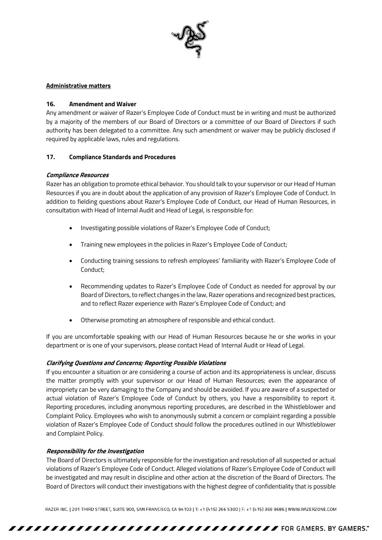

#### **Administrative matters**

#### **16. Amendment and Waiver**

Any amendment or waiver of Razer's Employee Code of Conduct must be in writing and must be authorized by a majority of the members of our Board of Directors or a committee of our Board of Directors if such authority has been delegated to a committee. Any such amendment or waiver may be publicly disclosed if required by applicable laws, rules and regulations.

#### **17. Compliance Standards and Procedures**

#### **Compliance Resources**

Razer has an obligation to promote ethical behavior. You should talk to your supervisor or our Head of Human Resources if you are in doubt about the application of any provision of Razer's Employee Code of Conduct. In addition to fielding questions about Razer's Employee Code of Conduct, our Head of Human Resources, in consultation with Head of Internal Audit and Head of Legal, is responsible for:

- Investigating possible violations of Razer's Employee Code of Conduct;
- Training new employees in the policies in Razer's Employee Code of Conduct;
- Conducting training sessions to refresh employees' familiarity with Razer's Employee Code of Conduct;
- Recommending updates to Razer's Employee Code of Conduct as needed for approval by our Board of Directors, to reflect changes in the law, Razer operations and recognized best practices, and to reflect Razer experience with Razer's Employee Code of Conduct; and
- Otherwise promoting an atmosphere of responsible and ethical conduct.

If you are uncomfortable speaking with our Head of Human Resources because he or she works in your department or is one of your supervisors, please contact Head of Internal Audit or Head of Legal.

### **Clarifying Questions and Concerns; Reporting Possible Violations**

If you encounter a situation or are considering a course of action and its appropriateness is unclear, discuss the matter promptly with your supervisor or our Head of Human Resources; even the appearance of impropriety can be very damaging to the Company and should be avoided. If you are aware of a suspected or actual violation of Razer's Employee Code of Conduct by others, you have a responsibility to report it. Reporting procedures, including anonymous reporting procedures, are described in the Whistleblower and Complaint Policy. Employees who wish to anonymously submit a concern or complaint regarding a possible violation of Razer's Employee Code of Conduct should follow the procedures outlined in our Whistleblower and Complaint Policy.

#### **Responsibility for the Investigation**

The Board of Directors is ultimately responsible for the investigation and resolution of all suspected or actual violations of Razer's Employee Code of Conduct. Alleged violations of Razer's Employee Code of Conduct will be investigated and may result in discipline and other action at the discretion of the Board of Directors. The Board of Directors will conduct their investigations with the highest degree of confidentiality that is possible

RAZER INC. | 201 THIRD STREET, SUITE 900, SAN FRANCISCO, CA 94103 | T: +1 (415) 266 5300 | F: +1 (415) 369 9686 | WWW.RAZERZONE.COM